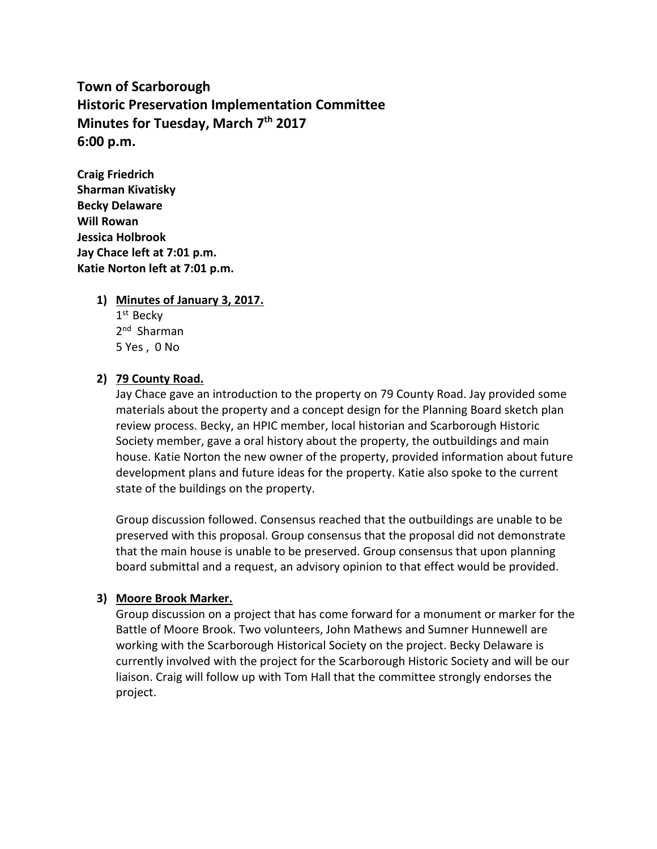**Town of Scarborough Historic Preservation Implementation Committee Minutes for Tuesday, March 7 th 2017 6:00 p.m.**

**Craig Friedrich Sharman Kivatisky Becky Delaware Will Rowan Jessica Holbrook Jay Chace left at 7:01 p.m. Katie Norton left at 7:01 p.m.**

#### **1) Minutes of January 3, 2017.**

1<sup>st</sup> Becky 2<sup>nd</sup> Sharman 5 Yes , 0 No

#### **2) 79 County Road.**

Jay Chace gave an introduction to the property on 79 County Road. Jay provided some materials about the property and a concept design for the Planning Board sketch plan review process. Becky, an HPIC member, local historian and Scarborough Historic Society member, gave a oral history about the property, the outbuildings and main house. Katie Norton the new owner of the property, provided information about future development plans and future ideas for the property. Katie also spoke to the current state of the buildings on the property.

Group discussion followed. Consensus reached that the outbuildings are unable to be preserved with this proposal. Group consensus that the proposal did not demonstrate that the main house is unable to be preserved. Group consensus that upon planning board submittal and a request, an advisory opinion to that effect would be provided.

#### **3) Moore Brook Marker.**

Group discussion on a project that has come forward for a monument or marker for the Battle of Moore Brook. Two volunteers, John Mathews and Sumner Hunnewell are working with the Scarborough Historical Society on the project. Becky Delaware is currently involved with the project for the Scarborough Historic Society and will be our liaison. Craig will follow up with Tom Hall that the committee strongly endorses the project.